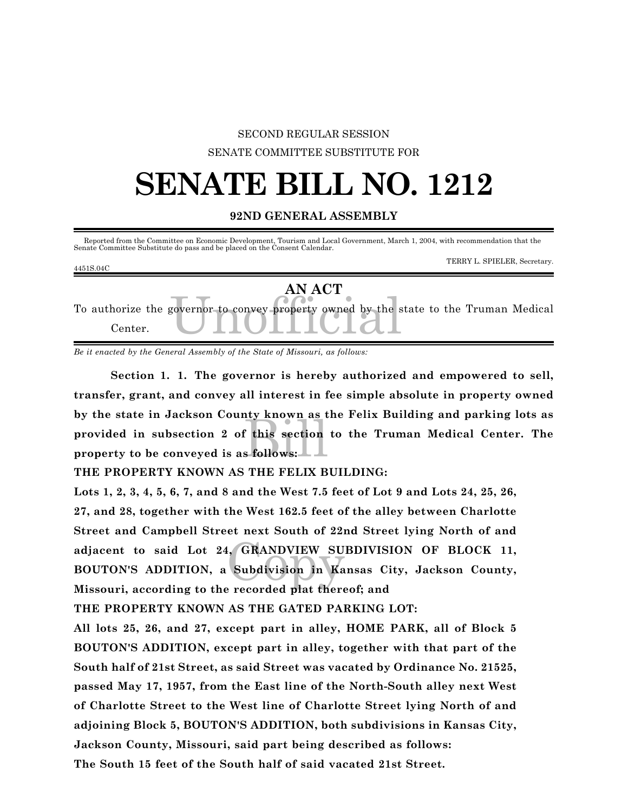#### SECOND REGULAR SESSION

SENATE COMMITTEE SUBSTITUTE FOR

### **SENATE BILL NO. 1212**

#### **92ND GENERAL ASSEMBLY**

Reported from the Committee on Economic Development, Tourism and Local Government, March 1, 2004, with recommendation that the Senate Committee Substitute do pass and be placed on the Consent Calendar.

TERRY L. SPIELER, Secretary.

| 4451S.04C |                                                                                                 | I EIGHT E. SI IBERR, Secretary. |
|-----------|-------------------------------------------------------------------------------------------------|---------------------------------|
| Center.   | AN ACT<br>To authorize the governor to convey property owned by the state to the Truman Medical |                                 |

*Be it enacted by the General Assembly of the State of Missouri, as follows:*

Explorer as the section<br>Billows: **Section 1. 1. The governor is hereby authorized and empowered to sell, transfer, grant, and convey all interest in fee simple absolute in property owned by the state in Jackson County known as the Felix Building and parking lots as provided in subsection 2 of this section to the Truman Medical Center. The property to be conveyed is as follows:**

**THE PROPERTY KNOWN AS THE FELIX BUILDING:**

GRANDVIEW SU **Lots 1, 2, 3, 4, 5, 6, 7, and 8 and the West 7.5 feet of Lot 9 and Lots 24, 25, 26, 27, and 28, together with the West 162.5 feet of the alley between Charlotte Street and Campbell Street next South of 22nd Street lying North of and adjacent to said Lot 24, GRANDVIEW SUBDIVISION OF BLOCK 11, BOUTON'S ADDITION, a Subdivision in Kansas City, Jackson County, Missouri, according to the recorded plat thereof; and**

**THE PROPERTY KNOWN AS THE GATED PARKING LOT:**

**All lots 25, 26, and 27, except part in alley, HOME PARK, all of Block 5 BOUTON'S ADDITION, except part in alley, together with that part of the South half of 21st Street, as said Street was vacated by Ordinance No. 21525, passed May 17, 1957, from the East line of the North-South alley next West of Charlotte Street to the West line of Charlotte Street lying North of and adjoining Block 5, BOUTON'S ADDITION, both subdivisions in Kansas City, Jackson County, Missouri, said part being described as follows:**

**The South 15 feet of the South half of said vacated 21st Street.**